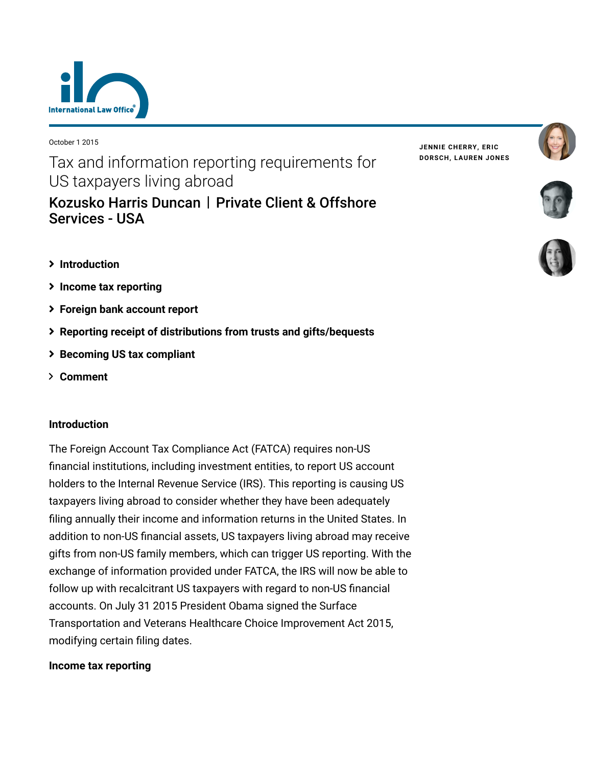

October 1 2015

Tax and information reporting requirements for US taxpayers living abroad [Kozusko Harris Duncan](https://www.lexology.com/contributors/23364) | Private Client & Offshore **JENNIE [CHERRY,](https://www.lexology.com/23364/author/Jennie_Cherry/) ERIC [DORSCH,](https://www.lexology.com/23364/author/Eric_Dorsch/) [LAUREN](https://www.lexology.com/23364/author/Lauren_Jones/) JONES**





- **[Introduction](#page-0-0)**
- **[Income tax reporting](#page-0-1)**

Services - USA

- **[Foreign bank account report](#page-1-0)**
- **[Reporting receipt of distributions from trusts and gifts/bequests](#page-2-0)**
- **[Becoming US tax compliant](#page-3-0)**
- **[Comment](#page-4-0)**

#### <span id="page-0-0"></span>**Introduction**

The Foreign Account Tax Compliance Act (FATCA) requires non-US financial institutions, including investment entities, to report US account holders to the Internal Revenue Service (IRS). This reporting is causing US taxpayers living abroad to consider whether they have been adequately filing annually their income and information returns in the United States. In addition to non-US financial assets, US taxpayers living abroad may receive gifts from non-US family members, which can trigger US reporting. With the exchange of information provided under FATCA, the IRS will now be able to follow up with recalcitrant US taxpayers with regard to non-US financial accounts. On July 31 2015 President Obama signed the Surface Transportation and Veterans Healthcare Choice Improvement Act 2015, modifying certain filing dates.

#### <span id="page-0-1"></span>**Income tax reporting**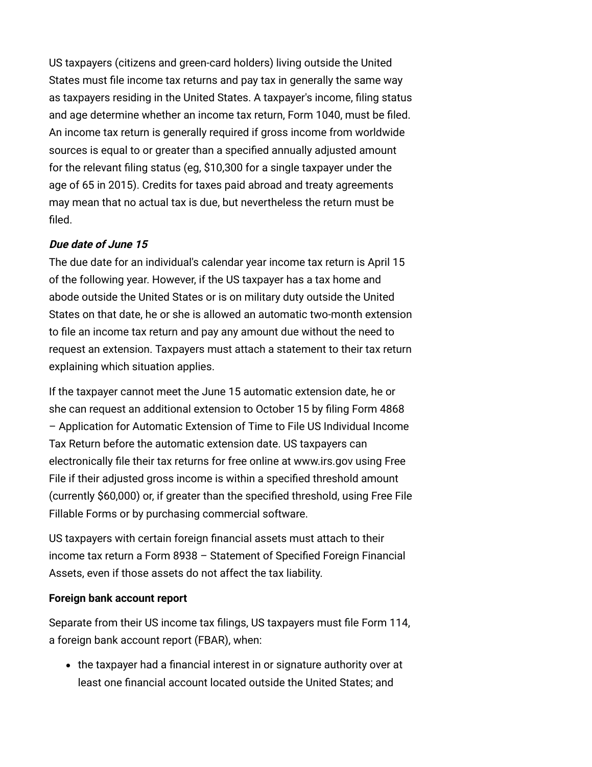US taxpayers (citizens and green-card holders) living outside the United States must file income tax returns and pay tax in generally the same way as taxpayers residing in the United States. A taxpayer's income, filing status and age determine whether an income tax return, Form 1040, must be filed. An income tax return is generally required if gross income from worldwide sources is equal to or greater than a specified annually adjusted amount for the relevant filing status (eg, \$10,300 for a single taxpayer under the age of 65 in 2015). Credits for taxes paid abroad and treaty agreements may mean that no actual tax is due, but nevertheless the return must be filed.

## **Due date of June 15**

The due date for an individual's calendar year income tax return is April 15 of the following year. However, if the US taxpayer has a tax home and abode outside the United States or is on military duty outside the United States on that date, he or she is allowed an automatic two-month extension to file an income tax return and pay any amount due without the need to request an extension. Taxpayers must attach a statement to their tax return explaining which situation applies.

If the taxpayer cannot meet the June 15 automatic extension date, he or she can request an additional extension to October 15 by filing Form 4868 – Application for Automatic Extension of Time to File US Individual Income Tax Return before the automatic extension date. US taxpayers can electronically file their tax returns for free online at [www.irs.gov](http://www.irs.gov/) using Free File if their adjusted gross income is within a specified threshold amount [\(currently \\$60,000\) or, if greater than the specified threshold, using Free File](http://apps.irs.gov/app/scripts/exit.jsp?dest=https://www.freefilefillableforms.com/#/fd) Fillable Forms or by purchasing commercial software.

US taxpayers with certain foreign financial assets must attach to their income tax return a Form 8938 – Statement of Specified Foreign Financial Assets, even if those assets do not affect the tax liability.

#### <span id="page-1-0"></span>**Foreign bank account report**

Separate from their US income tax filings, US taxpayers must file Form 114, a foreign bank account report (FBAR), when:

• the taxpayer had a financial interest in or signature authority over at least one financial account located outside the United States; and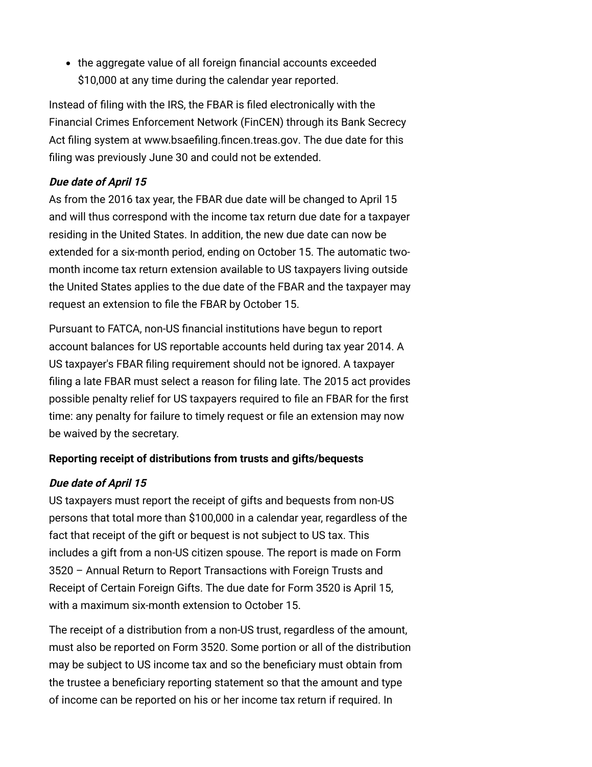• the aggregate value of all foreign financial accounts exceeded \$10,000 at any time during the calendar year reported.

Instead of filing with the IRS, the FBAR is filed electronically with the Financial Crimes Enforcement Network (FinCEN) through its Bank Secrecy Act filing system at [www.bsaefiling.fincen.treas.gov.](http://www.bsaefiling.fincen.treas.gov/) The due date for this filing was previously June 30 and could not be extended.

# **Due date of April 15**

As from the 2016 tax year, the FBAR due date will be changed to April 15 and will thus correspond with the income tax return due date for a taxpayer residing in the United States. In addition, the new due date can now be extended for a six-month period, ending on October 15. The automatic twomonth income tax return extension available to US taxpayers living outside the United States applies to the due date of the FBAR and the taxpayer may request an extension to file the FBAR by October 15.

Pursuant to FATCA, non-US financial institutions have begun to report account balances for US reportable accounts held during tax year 2014. A US taxpayer's FBAR filing requirement should not be ignored. A taxpayer filing a late FBAR must select a reason for filing late. The 2015 act provides possible penalty relief for US taxpayers required to file an FBAR for the first time: any penalty for failure to timely request or file an extension may now be waived by the secretary.

# <span id="page-2-0"></span>**Reporting receipt of distributions from trusts and gifts/bequests**

# **Due date of April 15**

US taxpayers must report the receipt of gifts and bequests from non-US persons that total more than \$100,000 in a calendar year, regardless of the fact that receipt of the gift or bequest is not subject to US tax. This includes a gift from a non-US citizen spouse. The report is made on Form 3520 – Annual Return to Report Transactions with Foreign Trusts and Receipt of Certain Foreign Gifts. The due date for Form 3520 is April 15, with a maximum six-month extension to October 15.

The receipt of a distribution from a non-US trust, regardless of the amount, must also be reported on Form 3520. Some portion or all of the distribution may be subject to US income tax and so the beneficiary must obtain from the trustee a beneficiary reporting statement so that the amount and type of income can be reported on his or her income tax return if required. In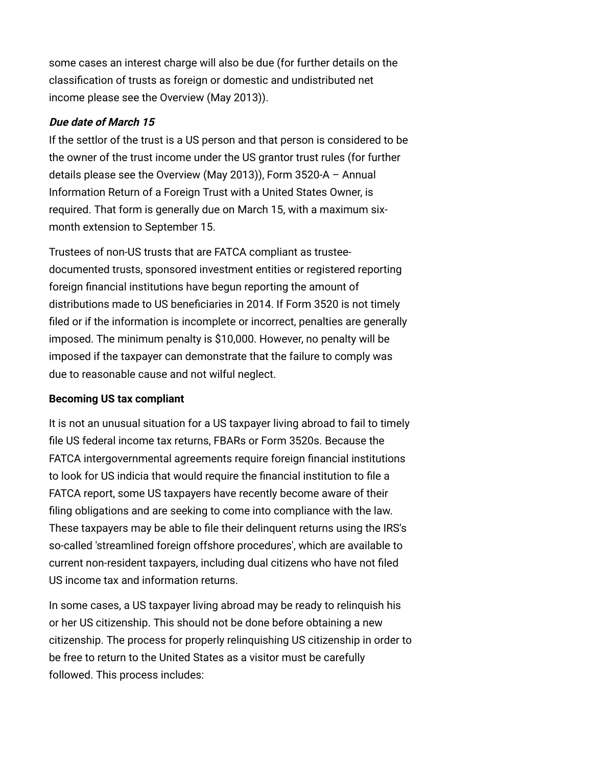some cases an interest charge will also be due (for further details on the classification of trusts as foreign or domestic and undistributed net income please see the [Overview \(May 2013\)](http://www.internationallawoffice.com/newsletters/Detail.aspx?g=54b715ea-8526-402d-801a-4ed58250ed4c)).

### **Due date of March 15**

If the settlor of the trust is a US person and that person is considered to be the owner of the trust income under the US grantor trust rules (for further details please see the [Overview \(May 2013\)](http://www.internationallawoffice.com/newsletters/Detail.aspx?g=54b715ea-8526-402d-801a-4ed58250ed4c)), Form 3520-A – Annual Information Return of a Foreign Trust with a United States Owner, is required. That form is generally due on March 15, with a maximum sixmonth extension to September 15.

Trustees of non-US trusts that are FATCA compliant as trusteedocumented trusts, sponsored investment entities or registered reporting foreign financial institutions have begun reporting the amount of distributions made to US beneficiaries in 2014. If Form 3520 is not timely filed or if the information is incomplete or incorrect, penalties are generally imposed. The minimum penalty is \$10,000. However, no penalty will be imposed if the taxpayer can demonstrate that the failure to comply was due to reasonable cause and not wilful neglect.

### <span id="page-3-0"></span>**Becoming US tax compliant**

It is not an unusual situation for a US taxpayer living abroad to fail to timely file US federal income tax returns, FBARs or Form 3520s. Because the FATCA intergovernmental agreements require foreign financial institutions to look for US indicia that would require the financial institution to file a FATCA report, some US taxpayers have recently become aware of their filing obligations and are seeking to come into compliance with the law. These taxpayers may be able to file their delinquent returns using the IRS's so-called 'streamlined foreign offshore procedures', which are available to current non-resident taxpayers, including dual citizens who have not filed US income tax and information returns.

In some cases, a US taxpayer living abroad may be ready to relinquish his or her US citizenship. This should not be done before obtaining a new citizenship. The process for properly relinquishing US citizenship in order to be free to return to the United States as a visitor must be carefully followed. This process includes: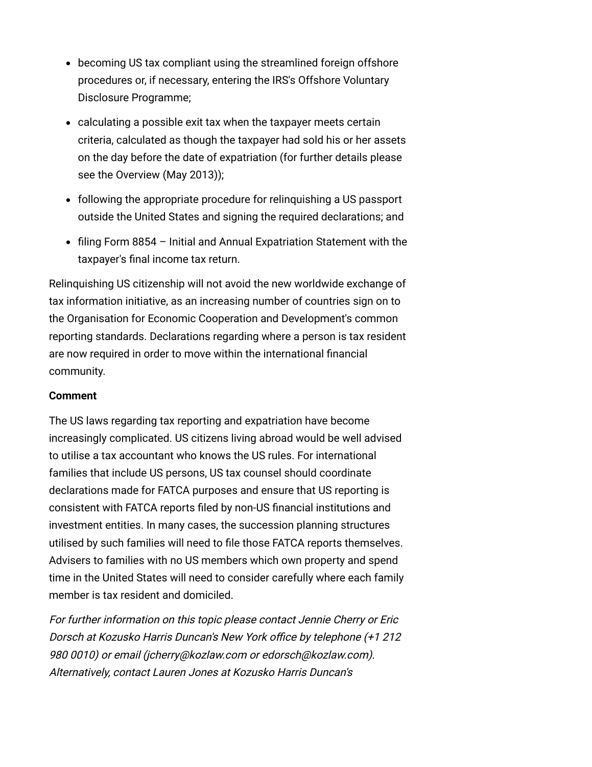- becoming US tax compliant using the streamlined foreign offshore procedures or, if necessary, entering the IRS's Offshore Voluntary Disclosure Programme;
- calculating a possible exit tax when the taxpayer meets certain criteria, calculated as though the taxpayer had sold his or her assets on the day before the date of expatriation (for further details please see the [Overview \(May 2013\)\)](http://www.internationallawoffice.com/newsletters/Detail.aspx?g=54b715ea-8526-402d-801a-4ed58250ed4c);
- following the appropriate procedure for relinquishing a US passport outside the United States and signing the required declarations; and
- filing Form 8854 Initial and Annual Expatriation Statement with the taxpayer's final income tax return.

Relinquishing US citizenship will not avoid the new worldwide exchange of tax information initiative, as an increasing number of countries sign on to the Organisation for Economic Cooperation and Development's common reporting standards. Declarations regarding where a person is tax resident are now required in order to move within the international financial community.

### <span id="page-4-0"></span>**Comment**

The US laws regarding tax reporting and expatriation have become increasingly complicated. US citizens living abroad would be well advised to utilise a tax accountant who knows the US rules. For international families that include US persons, US tax counsel should coordinate declarations made for FATCA purposes and ensure that US reporting is consistent with FATCA reports filed by non-US financial institutions and investment entities. In many cases, the succession planning structures utilised by such families will need to file those FATCA reports themselves. Advisers to families with no US members which own property and spend time in the United States will need to consider carefully where each family member is tax resident and domiciled.

For further information on this topic please contact [Jennie Cherry](http://www.internationallawoffice.com/directory/biography.aspx?r=36050) or Eric [Dorsch at Kozusko Harris Duncan's New York office by telephone \(+1 212](http://www.internationallawoffice.com/Directory/biography.aspx?g=134ccb8a-22b4-417a-99fa-b29dd717d3cc) 980 0010) or email [\(jcherry@kozlaw.com](mailto:jcherry@kozlaw.com?subject=Article%20on%20ILO) or [edorsch@kozlaw.com\)](mailto:edorsch@kozlaw.com?subject=Article%20on%20ILO). Alternatively, contact [Lauren Jones](http://www.internationallawoffice.com/directory/Biography.aspx?g=e6c7e91c-f32b-42ce-b851-cf8cb7d2e989) at Kozusko Harris Duncan's